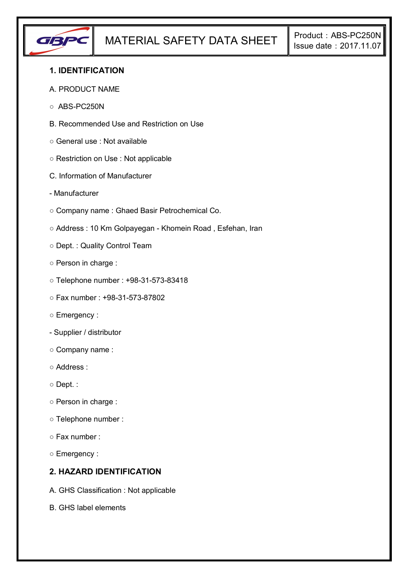

## **1. IDENTIFICATION**

#### A. PRODUCT NAME

- ABS-PC250N
- B. Recommended Use and Restriction on Use
- General use : Not available
- Restriction on Use : Not applicable
- C. Information of Manufacturer
- Manufacturer
- Company name : Ghaed Basir Petrochemical Co.
- Address : 10 Km Golpayegan Khomein Road , Esfehan, Iran
- Dept. : Quality Control Team
- Person in charge :
- Telephone number : +98-31-573-83418
- Fax number : +98-31-573-87802
- Emergency :
- Supplier / distributor
- Company name :
- Address :
- Dept. :
- Person in charge :
- Telephone number :
- Fax number :
- Emergency :

## **2. HAZARD IDENTIFICATION**

- A. GHS Classification : Not applicable
- B. GHS label elements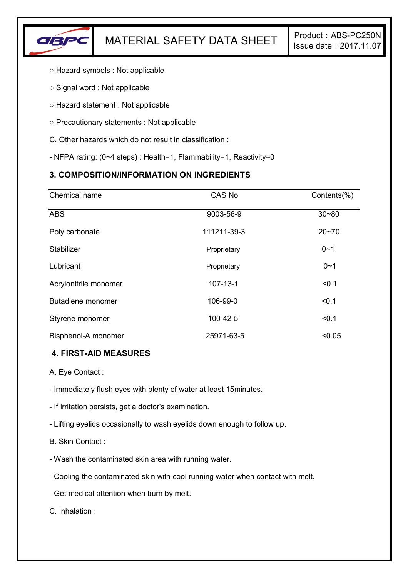

- Hazard symbols : Not applicable
- Signal word : Not applicable
- Hazard statement : Not applicable
- Precautionary statements : Not applicable
- C. Other hazards which do not result in classification :
- NFPA rating: (0~4 steps) : Health=1, Flammability=1, Reactivity=0

# **3. COMPOSITION/INFORMATION ON INGREDIENTS**

| Chemical name         | CAS No         | Contents(%) |
|-----------------------|----------------|-------------|
| <b>ABS</b>            | 9003-56-9      | $30 - 80$   |
| Poly carbonate        | 111211-39-3    | $20 - 70$   |
| Stabilizer            | Proprietary    | $0 - 1$     |
| Lubricant             | Proprietary    | $0 - 1$     |
| Acrylonitrile monomer | $107 - 13 - 1$ | < 0.1       |
| Butadiene monomer     | 106-99-0       | < 0.1       |
| Styrene monomer       | 100-42-5       | < 0.1       |
| Bisphenol-A monomer   | 25971-63-5     | < 0.05      |

### **4. FIRST-AID MEASURES**

- A. Eye Contact :
- Immediately flush eyes with plenty of water at least 15minutes.
- If irritation persists, get a doctor's examination.
- Lifting eyelids occasionally to wash eyelids down enough to follow up.
- B. Skin Contact :
- Wash the contaminated skin area with running water.
- Cooling the contaminated skin with cool running water when contact with melt.
- Get medical attention when burn by melt.

C. Inhalation :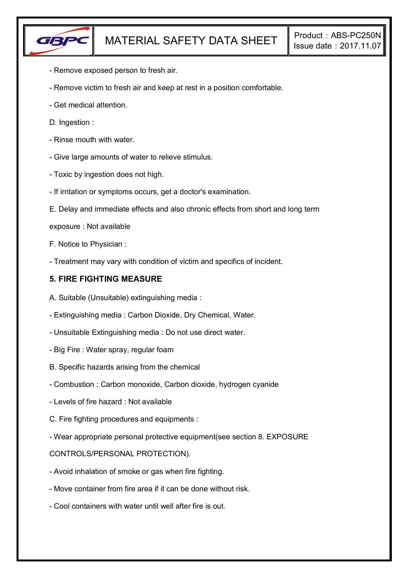

- Remove exposed person to fresh air.
- Remove victim to fresh air and keep at rest in a position comfortable.
- Get medical attention.
- D. Ingestion :
- Rinse mouth with water.
- Give large amounts of water to relieve stimulus.
- Toxic by ingestion does not high.
- If irritation or symptoms occurs, get a doctor's examination.
- E. Delay and immediate effects and also chronic effects from short and long term
- exposure : Not available
- F. Notice to Physician :
- Treatment may vary with condition of victim and specifics of incident.

#### **5. FIRE FIGHTING MEASURE**

- A. Suitable (Unsuitable) extinguishing media :
- Extinguishing media : Carbon Dioxide, Dry Chemical, Water.
- Unsuitable Extinguishing media : Do not use direct water.
- Big Fire : Water spray, regular foam
- B. Specific hazards arising from the chemical
- Combustion : Carbon monoxide, Carbon dioxide, hydrogen cyanide
- Levels of fire hazard : Not available
- C. Fire fighting procedures and equipments :
- Wear appropriate personal protective equipment(see section 8. EXPOSURE

#### CONTROLS/PERSONAL PROTECTION).

- Avoid inhalation of smoke or gas when fire fighting.
- Move container from fire area if it can be done without risk.
- Cool containers with water until well after fire is out.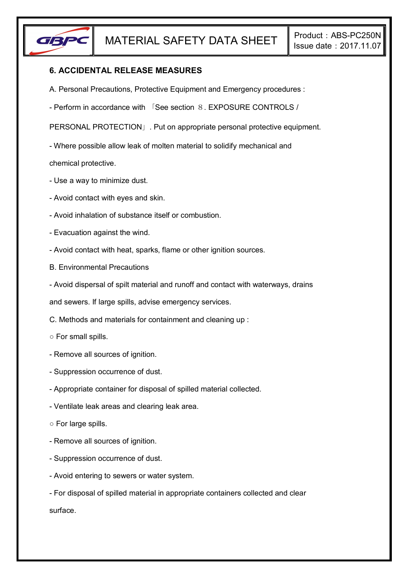

## **6. ACCIDENTAL RELEASE MEASURES**

- A. Personal Precautions, Protective Equipment and Emergency procedures :
- Perform in accordance with 「See section 8. EXPOSURE CONTROLS /

PERSONAL PROTECTION」. Put on appropriate personal protective equipment.

- Where possible allow leak of molten material to solidify mechanical and

chemical protective.

- Use a way to minimize dust.
- Avoid contact with eyes and skin.
- Avoid inhalation of substance itself or combustion.
- Evacuation against the wind.
- Avoid contact with heat, sparks, flame or other ignition sources.
- B. Environmental Precautions
- Avoid dispersal of spilt material and runoff and contact with waterways, drains

and sewers. If large spills, advise emergency services.

- C. Methods and materials for containment and cleaning up :
- For small spills.
- Remove all sources of ignition.
- Suppression occurrence of dust.
- Appropriate container for disposal of spilled material collected.
- Ventilate leak areas and clearing leak area.
- For large spills.
- Remove all sources of ignition.
- Suppression occurrence of dust.
- Avoid entering to sewers or water system.
- For disposal of spilled material in appropriate containers collected and clear surface.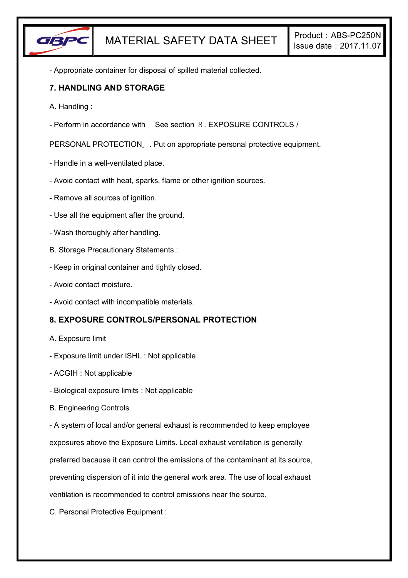

- Appropriate container for disposal of spilled material collected.

### **7. HANDLING AND STORAGE**

- A. Handling :
- Perform in accordance with 「See section 8. EXPOSURE CONTROLS /

PERSONAL PROTECTION」. Put on appropriate personal protective equipment.

- Handle in a well-ventilated place.
- Avoid contact with heat, sparks, flame or other ignition sources.
- Remove all sources of ignition.
- Use all the equipment after the ground.
- Wash thoroughly after handling.
- B. Storage Precautionary Statements :
- Keep in original container and tightly closed.
- Avoid contact moisture.
- Avoid contact with incompatible materials.

# **8. EXPOSURE CONTROLS/PERSONAL PROTECTION**

- A. Exposure limit
- Exposure limit under ISHL : Not applicable
- ACGIH : Not applicable
- Biological exposure limits : Not applicable
- B. Engineering Controls

- A system of local and/or general exhaust is recommended to keep employee

exposures above the Exposure Limits. Local exhaust ventilation is generally

preferred because it can control the emissions of the contaminant at its source,

preventing dispersion of it into the general work area. The use of local exhaust

ventilation is recommended to control emissions near the source.

C. Personal Protective Equipment :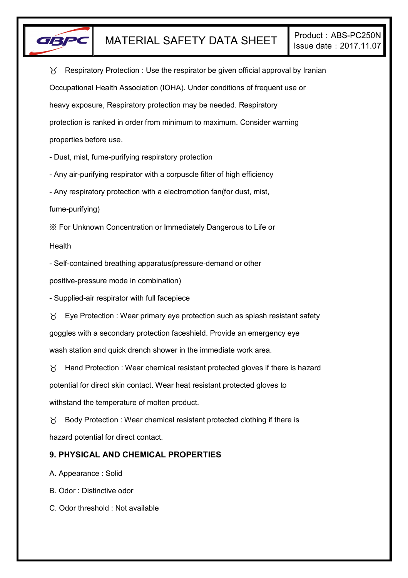

 $\gamma$  Respiratory Protection : Use the respirator be given official approval by Iranian Occupational Health Association (IOHA). Under conditions of frequent use or heavy exposure, Respiratory protection may be needed. Respiratory protection is ranked in order from minimum to maximum. Consider warning properties before use.

- Dust, mist, fume-purifying respiratory protection

- Any air-purifying respirator with a corpuscle filter of high efficiency

- Any respiratory protection with a electromotion fan(for dust, mist,

fume-purifying)

※ For Unknown Concentration or Immediately Dangerous to Life or

Health

- Self-contained breathing apparatus(pressure-demand or other

positive-pressure mode in combination)

- Supplied-air respirator with full facepiece

 $\forall$  Eye Protection : Wear primary eye protection such as splash resistant safety goggles with a secondary protection faceshield. Provide an emergency eye wash station and quick drench shower in the immediate work area.

 $\gamma$  Hand Protection : Wear chemical resistant protected gloves if there is hazard potential for direct skin contact. Wear heat resistant protected gloves to withstand the temperature of molten product.

 $\gamma$  Body Protection : Wear chemical resistant protected clothing if there is hazard potential for direct contact.

# **9. PHYSICAL AND CHEMICAL PROPERTIES**

A. Appearance : Solid

B. Odor : Distinctive odor

C. Odor threshold : Not available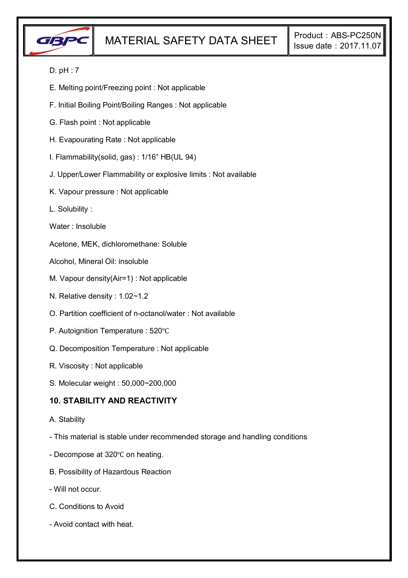

### D. pH : 7

- E. Melting point/Freezing point : Not applicable
- F. Initial Boiling Point/Boiling Ranges : Not applicable
- G. Flash point : Not applicable
- H. Evapourating Rate : Not applicable
- I. Flammability(solid, gas) : 1/16" HB(UL 94)
- J. Upper/Lower Flammability or explosive limits : Not available
- K. Vapour pressure : Not applicable
- L. Solubility :
- Water : Insoluble
- Acetone, MEK, dichloromethane: Soluble
- Alcohol, Mineral Oil: insoluble
- M. Vapour density(Air=1) : Not applicable
- N. Relative density : 1.02~1.2
- O. Partition coefficient of n-octanol/water : Not available
- P. Autoignition Temperature : 520℃
- Q. Decomposition Temperature : Not applicable
- R. Viscosity : Not applicable
- S. Molecular weight : 50,000~200,000

### **10. STABILITY AND REACTIVITY**

- A. Stability
- This material is stable under recommended storage and handling conditions
- Decompose at 320℃ on heating.
- B. Possibility of Hazardous Reaction
- Will not occur.
- C. Conditions to Avoid
- Avoid contact with heat.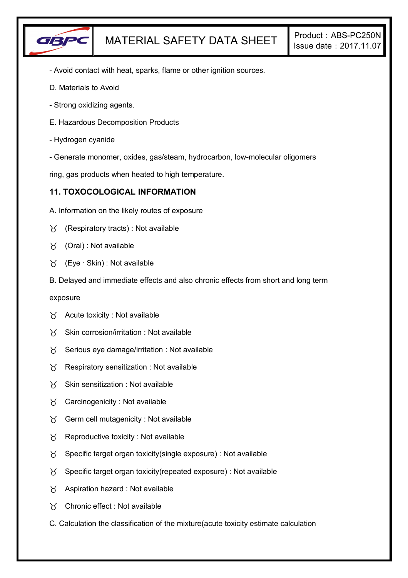

- Avoid contact with heat, sparks, flame or other ignition sources.
- D. Materials to Avoid
- Strong oxidizing agents.
- E. Hazardous Decomposition Products
- Hydrogen cyanide
- Generate monomer, oxides, gas/steam, hydrocarbon, low-molecular oligomers

ring, gas products when heated to high temperature.

### **11. TOXOCOLOGICAL INFORMATION**

- A. Information on the likely routes of exposure
- $\gamma$  (Respiratory tracts) : Not available
- $\forall$  (Oral): Not available
- (Eye ∙ Skin) : Not available
- B. Delayed and immediate effects and also chronic effects from short and long term

exposure

- $\forall$  Acute toxicity : Not available
- $X$  Skin corrosion/irritation : Not available
- $\chi$  Serious eye damage/irritation : Not available
- $\chi$  Respiratory sensitization : Not available
- $X$  Skin sensitization : Not available
- $\gamma$  Carcinogenicity : Not available
- $\gamma$  Germ cell mutagenicity : Not available
- $\gamma$  Reproductive toxicity : Not available
- $\gamma$  Specific target organ toxicity(single exposure) : Not available
- $\gamma$  Specific target organ toxicity (repeated exposure) : Not available
- $\gamma$  Aspiration hazard : Not available
- Chronic effect : Not available
- C. Calculation the classification of the mixture(acute toxicity estimate calculation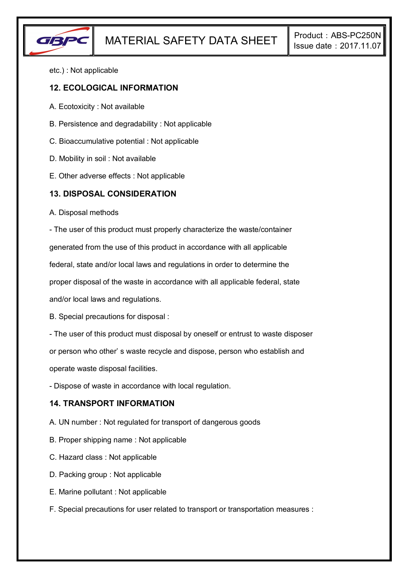

etc.) : Not applicable

#### **12. ECOLOGICAL INFORMATION**

- A. Ecotoxicity : Not available
- B. Persistence and degradability : Not applicable
- C. Bioaccumulative potential : Not applicable
- D. Mobility in soil : Not available
- E. Other adverse effects : Not applicable

#### **13. DISPOSAL CONSIDERATION**

A. Disposal methods

- The user of this product must properly characterize the waste/container

generated from the use of this product in accordance with all applicable

federal, state and/or local laws and regulations in order to determine the

proper disposal of the waste in accordance with all applicable federal, state

and/or local laws and regulations.

B. Special precautions for disposal :

- The user of this product must disposal by oneself or entrust to waste disposer

or person who other' s waste recycle and dispose, person who establish and

operate waste disposal facilities.

- Dispose of waste in accordance with local regulation.

## **14. TRANSPORT INFORMATION**

- A. UN number : Not regulated for transport of dangerous goods
- B. Proper shipping name : Not applicable
- C. Hazard class : Not applicable
- D. Packing group : Not applicable
- E. Marine pollutant : Not applicable
- F. Special precautions for user related to transport or transportation measures :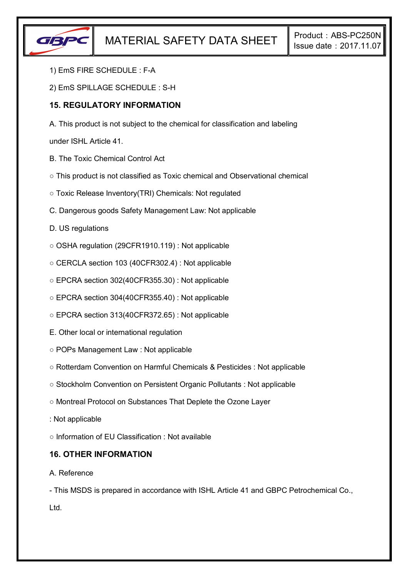

- 1) EmS FIRE SCHEDULE : F-A
- 2) EmS SPILLAGE SCHEDULE : S-H

### **15. REGULATORY INFORMATION**

A. This product is not subject to the chemical for classification and labeling

under ISHL Article 41.

- B. The Toxic Chemical Control Act
- This product is not classified as Toxic chemical and Observational chemical
- Toxic Release Inventory(TRI) Chemicals: Not regulated
- C. Dangerous goods Safety Management Law: Not applicable
- D. US regulations
- OSHA regulation (29CFR1910.119) : Not applicable
- CERCLA section 103 (40CFR302.4) : Not applicable
- EPCRA section 302(40CFR355.30) : Not applicable
- EPCRA section 304(40CFR355.40) : Not applicable
- EPCRA section 313(40CFR372.65) : Not applicable
- E. Other local or international regulation
- POPs Management Law : Not applicable
- Rotterdam Convention on Harmful Chemicals & Pesticides : Not applicable
- Stockholm Convention on Persistent Organic Pollutants : Not applicable
- Montreal Protocol on Substances That Deplete the Ozone Layer
- : Not applicable

○ Information of EU Classification : Not available

### **16. OTHER INFORMATION**

#### A. Reference

- This MSDS is prepared in accordance with ISHL Article 41 and GBPC Petrochemical Co., Ltd.